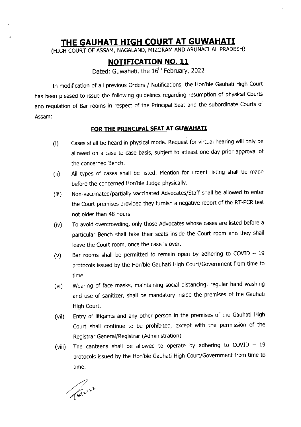# THE GAUHATI HIGH COURT AT GUWAHATI

(HIGH COURT OF ASSAM, NAGALAND, MIZORAM AND ARUNACHAL PRADESH)

## NOTIFICATION NO. 11

Dated: Guwahati, the 16<sup>th</sup> February, 2022

In modification of all previous orders / Notifications, the Hon'ble Gauhati High court has been pleased to issue the following guidelines regarding resumption of physical Courts and regulation of Bar rooms in respect of the Principal seat and the subordinate courts of Assam:

### FOR THE PRINCIPAL SEAT AT GUWAHATI

- $(i)$ Cases shall be heard in physical mode. Request for virtual hearing will only be allowed on a case to case basis, subject to atleast one day prior approval of the concerned Bench.
- (ii) All types of cases shall be listed. Mention for urgent listing shall be made before the concerned Hon'ble ludge physically.
- (iii) Non-vaccinated/partially vaccinated Advocates/staff shall be allowed to enter the Court premises provided they furnish a negative report of the RT-PCR test not older than 48 hours.
- (iv) To avold overcrowding, only those Advocates whose cases are listed before <sup>a</sup> particular Bench shall take their seats inside the Court room and they shall leave the Court room, once the case is over.
- (v) Bar rooms shall be permitted to remain open by adhering to COVID  $-19$ protocols issued by the Hon'ble Gauhati High Court/Government from time to time.
- (vi) Wearing of face masks, maintaining social distancing, regular hand washing and use of sanitizer, shall be mandatory inside the premises of the Gauhati High Court.
- (vii) Entry of litigants and any other person in the premises of the Gauhati High Court shall continue to be prohibited, except with the permission of the Registrar General/Registrar (Administration).
- (viii) The canteens shall be allowed to operate by adhering to COVID  $-19$ protocols lssued by the Hon'ble Gauhati High Court/Government from time to time.

 $\mathcal{L}^{(\nu)}$ v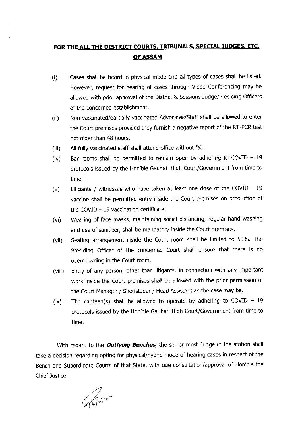## FOR THE ALL THE DISTRICT COURTS, TRIBUNALS, SPECIAL JUDGES, ETC. OF ASSAM

- (i) Cases shall be heard in physical mode and all types of cases shall be listed. However, request for hearing of cases through Video Conferencing may be allowed with prior approval of the District & Sessions Judge/Presiding Officers of the concerned establishment.
- (ii) Non-vaccinated/partially vaccinated Advocates/Staff shall be allowed to enter the Court premises provided they furnish a negative report of the RT-PCR test not older than 48 hours.
- (iii) All fully vaccinated staff shall attend office without fail.
- (iv) Bar rooms shall be permitted to remain open by adhering to COVID  $-19$ protocols issued by the Hon'ble Gauhati High Court/Government from time to time.
- Litigants / witnesses who have taken at least one dose of the COVID  $-19$ vaccine shall be permitted entry inside the Court premises on production of the COVID  $-19$  vaccination certificate. (v)
- Wearing of face masks, maintaining social distancing, regular hand washing and use of sanitizer, shall be mandatory inside the Court premises. (vi)
- Seating arrangement inside the Court room shall be limited to 50%. The Presiding Officer of the concerned Court shall ensure that there is no overcrowding in the Court room. (vii)
- Entry of any person, other than litigants, in connection with any important work inside the Court premises shall be allowed with the prior permission of the Court Manager / Sheristadar / Head Assistant as the case may be. (viii)
- The canteen(s) shall be allowed to operate by adhering to COVID  $19$ protocols issued by the Hon'ble Gauhati High Court/Government from time to time. (ix)

With regard to the **Outlying Benches**, the senior most Judge in the station shall take a decision regarding opting for physical/hybrid mode of hearing cases in respect of the Bench and Subordinate Courts of that State, with due consultation/approval of Hon'ble the Chief lustice.

 $\sqrt{612}$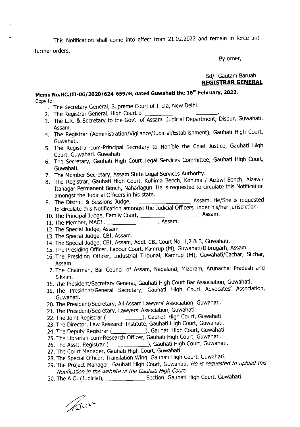This Notification shall come into effect from 21.02.2022 and remain in force until further orders.

By order,

#### Sd/- Gautam Baruah REGISTRAR GENERAL

### Memo No.HC.III-06/2020/624-659/G, dated Guwahati the 16<sup>th</sup> February, 2022. Copy to:

- 1. The Secretary General, Supreme Court of India, New Delhi.
- 2. The Registrar General, High Court of
- 3. The L.R. & Secretary to the Govt. of Assam, Judicial Department, Dispur, Guwahati, Assam.
- 4. The Registrar (Administration/Vigilance/Judicial/Establishment), Gauhati High Court Guwahati.
- 5. The Registrar-cum-Principal Secretary to Hon'ble the Chief Justice, Gauhati High Court, Guwahati. Guwahati.
- 6. The Secretary, Gauhati High Court Legal Services Committee, Gauhati High Court, Guwahati.
- 7. The Member Secretary, Assam State Legal Services Authority.
- 8. The Registrar, Cauhati High Court, Kohima Bench, Kohima / Aizawl Bench, Aizawl/ Itanagar Permanent Bench, Naharlagun. He is requested to circulate this Notification amongst the Judicial Officers in his state.<br>9. The District & Sessions Judge,
- 9. The District & Sessions ludge,- Assam' He/She is requested to circulate this Notification amongst the Judicial Officers under his/her jurisdiction.
- 10. The Principal Judge, Family Court, **Assam.**
- 11. The Member, MACT, Assam
- 12. The Special Judge, Assam
- 13. The Special Judge, CBI, Assam.
- 14. The Special Judge, CBI, Assam, Addl. CBI Court No. 1,2 & 3, Guwahati.
- 15. The Piesiding Officer, Labour Court, Kamrup (M), Guwahati/Dibrugarh, Assam
- 16. The Presiding Officer, Industrial Tribunal, Kamrup (M), Guwahati/Cachar, Silchar, Assam.
- 17. The Chairman, Bar Council Of Assam, Nagaland, Mizoram, Arunachal Pradesh and Sikkim.
- 18. The President/Secretary General, Gauhati High Court Bar Association, Guwahati.
- 19. The president/Generai Secretary, Gauhati High Court Advocates' Association, Guwahati.
- 20. The President/Secretary, All Assam Lawyers' Association, Guwahati.
- 21. The President/Secretary, Lawyers' Association, Guwahati.
- 22. The loint Registrar ), Gauhati High Court, Guwahati.
- 23. The Director, Law Research Institute, Gauhati High Court, Guwahati.
- 24. The Deputy Registrar (\_\_\_\_\_\_\_\_\_\_\_\_\_), Gauhati High Court, Guwahati
- 25. The Librarlan-cum-Res earch Officer, Gauhati High Court, Guwahati.
- 26. The Asstt. Registrar (*\_\_\_\_\_\_\_\_\_\_\_\_\_\_\_\_*), Gauhati High Court, Guwahati.
- 27. The Court Manager, Gauhati High Court, Guwahati.
- 28. The Special Officer, Translation Wing, Gauhati High Court, Guwahati.
- 29. The Project Manager, Gauhati High Court, Guwahati. He is requested to upload this Notification in the website of the Gauhati High Coutt.
- 30. The A.O. (Judicial), Section, Gauhati High Court, Guwahati

 $\sqrt{(1)^{2}}$